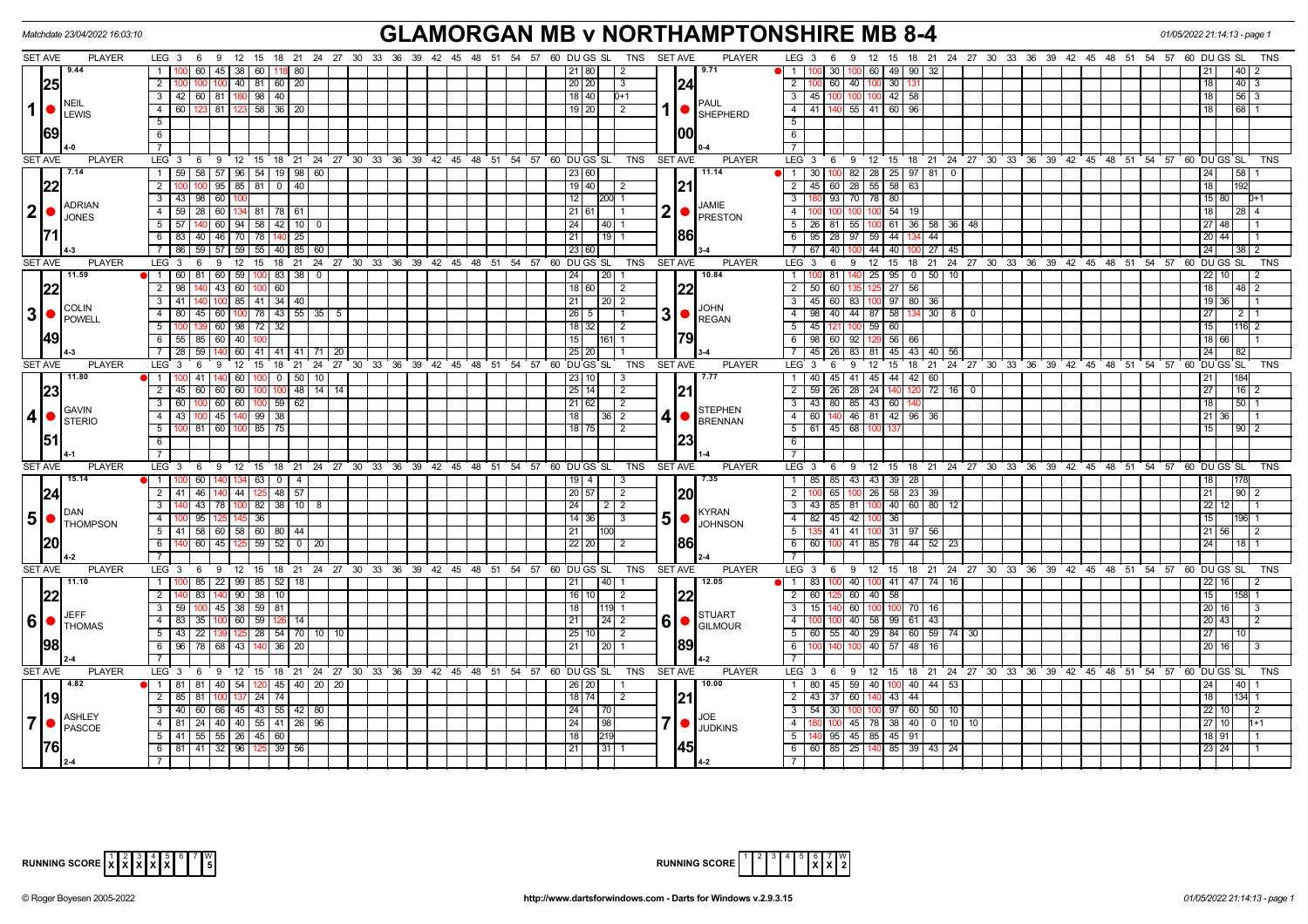| <b>GLAMORGAN MB v NORTHAMPTONSHIRE MB 8-4</b><br>Matchdate 23/04/2022 16:03:10<br>01/05/2022 21:14:13 - page 1 |                                                                     |                                                                                                                             |                                                                                                                     |                                                   |  |  |  |  |  |  |
|----------------------------------------------------------------------------------------------------------------|---------------------------------------------------------------------|-----------------------------------------------------------------------------------------------------------------------------|---------------------------------------------------------------------------------------------------------------------|---------------------------------------------------|--|--|--|--|--|--|
| <b>SET AVE</b><br><b>PLAYER</b>                                                                                |                                                                     | LEG 3 6 9 12 15 18 21 24 27 30 33 36 39 42 45 48 51 54 57 60 DUGS SL TNS SETAVE<br><b>PLAYER</b>                            | LEG <sub>3</sub><br>- 6<br>12<br>18  21  24  27  30  33  36  39  42  45  48  51  54  57  60  DU GS  SL<br>- 9<br>15 | TNS                                               |  |  |  |  |  |  |
| 9.44                                                                                                           | $60$   45   38   60   118   80<br>1 <sup>1</sup>                    | 9.71<br>21 80<br>$\sqrt{2}$                                                                                                 | $100$ 60<br>30 I<br>49 90 32<br>$\overline{1}$                                                                      | 40                                                |  |  |  |  |  |  |
| 25                                                                                                             | $2-1$<br>$100$ 40 81 60 20                                          | 24<br>20 20 <br>3                                                                                                           | $\overline{2}$<br>60 40 100<br>$30 - 13'$                                                                           | $40$   3                                          |  |  |  |  |  |  |
|                                                                                                                | 3   42   60   81   180   98   40                                    | $18$ 40<br>$0+1$                                                                                                            | 3 45 100 100 100<br>$42 \mid 58$                                                                                    | $ 56 $ 3<br>18                                    |  |  |  |  |  |  |
| <b>NEIL</b><br>$1$ $\bullet$<br><b>LEWIS</b>                                                                   | 60   123   81   123   58   36   20<br>$\overline{4}$                | <b>PAUL</b><br>$19$ 20<br>$\sqrt{2}$<br>$1  \bullet  $ SHEPHERD                                                             | 4 4 41 140 55 41 60 96                                                                                              | 68 1                                              |  |  |  |  |  |  |
|                                                                                                                | $\overline{5}$                                                      |                                                                                                                             | 5                                                                                                                   |                                                   |  |  |  |  |  |  |
| 69                                                                                                             | 6                                                                   | 100                                                                                                                         | 6                                                                                                                   |                                                   |  |  |  |  |  |  |
|                                                                                                                | $\overline{7}$                                                      |                                                                                                                             | $\overline{7}$                                                                                                      |                                                   |  |  |  |  |  |  |
| SET AVE<br><b>PLAYER</b>                                                                                       | LEG 3                                                               | 6 9 12 15 18 21 24 27 30 33 36 39 42 45 48 51 54 57 60 DUGS SL<br>TNS<br><b>SET AVE</b><br><b>PLAYER</b>                    | LEG <sup>3</sup><br>$6^{\circ}$<br>9 12 15 18 21 24 27 30 33 36 39 42 45 48 51 54 57                                | 60 DU GS SL<br><b>TNS</b>                         |  |  |  |  |  |  |
| 7.14                                                                                                           | 1   59   58   57   96   54   19   98   60                           | 11.14<br>23 60                                                                                                              | 100 82 28 25 97 81<br>$1 \overline{30}$<br>$\overline{\phantom{0}}$                                                 | 58 <br> 24                                        |  |  |  |  |  |  |
| 22                                                                                                             | 100 95 85 81 0 40<br>$\overline{2}$                                 | 19   40 <br> 21<br>l 2                                                                                                      | 2 45 60 28 55 58 63                                                                                                 | $\overline{18}$<br>192                            |  |  |  |  |  |  |
|                                                                                                                | $\overline{3}$<br> 43 98 60                                         | 12<br>200 1                                                                                                                 | 93 70 78 80<br>3                                                                                                    | 15 80<br>$D+1$                                    |  |  |  |  |  |  |
| <b>ADRIAN</b><br>$ 2  \bullet$                                                                                 | $4$ 59 28 60 134 81 78 61                                           | JAMIE<br>$21 61 $ 1                                                                                                         | $-4$<br>$54$ 19<br>100 100 100                                                                                      | 28 4<br>l 18 I                                    |  |  |  |  |  |  |
| <b>JONES</b>                                                                                                   | $5 \mid 57 \mid 140 \mid 60 \mid 94 \mid 58 \mid 42 \mid 10 \mid 0$ | 24  <br> 40 1                                                                                                               | 5 26 81 55<br>100 61 36 58 36 48                                                                                    | 27   48                                           |  |  |  |  |  |  |
|                                                                                                                | 6 83 40 46 70 78 140 25                                             | 86 <br>21<br>$19$ 1                                                                                                         | 6 95 28 97 59 44 134<br>44                                                                                          | $20$ 44                                           |  |  |  |  |  |  |
|                                                                                                                | 86 59 57 59 55 40 85 60                                             | 23 60                                                                                                                       | 100 44 40 100 27 45<br>$7 \overline{\smash{\big)}\ 67}$<br>$-40$                                                    | $\overline{24}$<br>$38$   2                       |  |  |  |  |  |  |
| <b>SET AVE</b><br><b>PLAYER</b>                                                                                | LEG <sub>3</sub><br>12<br>15<br>6<br>-9                             | 18 21 24 27 30 33 36 39 42 45 48 51 54 57 60 DUGS SL<br>TNS<br><b>SET AVE</b><br><b>PLAYER</b>                              | LEG <sup>3</sup><br>$12 \quad 15$<br>$18$ 21<br>24 27 30 33 36 39 42 45 48 51 54 57<br>6<br>9                       | 60 DU GS SL<br><b>TNS</b>                         |  |  |  |  |  |  |
| 11.59                                                                                                          | 1 60 81 60 59 100 83 38<br>$\overline{0}$                           | 10.84<br> 24 <br>$\vert$ 20 $\vert$ 1                                                                                       | 81 140 25<br>$95 \mid 0 \mid 50 \mid 10$<br>$1 - 100$                                                               | $22$   10<br>2                                    |  |  |  |  |  |  |
| 22                                                                                                             | 2 98 140<br>13 60 <br>$100$ 60                                      | 22<br>18 60 2                                                                                                               | $2 \mid 50 \mid$<br>$27 \overline{56}$<br>60 135 125                                                                | 18<br> 48 2                                       |  |  |  |  |  |  |
|                                                                                                                | 41   140   100   85   41   34   40  <br>$\overline{3}$              | 21 <br>$\sqrt{20}$ 2                                                                                                        | 3 45 60 83 100 97 80 36                                                                                             | 19 36                                             |  |  |  |  |  |  |
| <b>COLIN</b><br>3                                                                                              | 80 45 60 100 78 43 55 35 5<br>$\overline{4}$                        | $3$ $\bullet$ $\left  \bullet \right $ $\frac{100 \text{ km s}}{\text{REGAN}}$<br>$26 \mid 5 \mid$<br>$\overline{1}$        | 4   98   40   44   87   58   134   30   8   0                                                                       | 27<br>  2                                         |  |  |  |  |  |  |
| <b>POWELL</b>                                                                                                  | 5<br>60 98 72 32                                                    | $18$ 32<br>$\vert$ 2                                                                                                        | 5 45 121 100 59<br>60                                                                                               | 15<br>$116$ 2                                     |  |  |  |  |  |  |
| <b>49</b>                                                                                                      | $55 \mid 85 \mid 60 \mid 40 \mid$<br>$6\overline{6}$                | 79<br>15<br>161 1                                                                                                           | 6 98 60 92 129 56 66                                                                                                | 18 66                                             |  |  |  |  |  |  |
|                                                                                                                | 7 <sup>7</sup><br>28 59 140<br>60 41 41 41 71 20                    | 25 20                                                                                                                       | 7 45 26 83 81<br>45 43 40 56                                                                                        | 24 <br>82                                         |  |  |  |  |  |  |
| <b>SET AVE</b><br><b>PLAYER</b>                                                                                |                                                                     | LEG 3 6 9 12 15 18 21 24 27 30 33 36 39 42 45 48 51 54 57 60 DUGS SL<br>TNS<br><b>SET AVE</b><br><b>PLAYER</b>              | 9 12 15 18 21 24 27 30 33 36 39 42 45 48 51 54 57 60 DUGS SL<br>$LEG_36$                                            | TNS                                               |  |  |  |  |  |  |
| 11.80                                                                                                          | 1 <sup>1</sup><br>41<br>60<br>$\overline{0}$<br>50 10               | $45 \mid 41 \mid 45 \mid$<br>44 42 60<br>23 10 <br>17.77<br>$1 \quad 40$<br>-3                                              |                                                                                                                     | 21<br>184                                         |  |  |  |  |  |  |
| 23                                                                                                             | $\overline{2}$<br>45 60 60 60 100 100 48 14 14                      | 21<br>25 14 <br>$\sqrt{2}$                                                                                                  | 2 59 26 28 24<br>72<br>16 0                                                                                         | 27<br> 16                                         |  |  |  |  |  |  |
|                                                                                                                | 60   100   60   60   100   59   62<br>$\mathbf{3}$                  | 21   62<br>$\sqrt{2}$                                                                                                       | 3 43 80 85 43 60                                                                                                    | 18<br>50 1                                        |  |  |  |  |  |  |
| <b>GAVIN</b><br>$\vert 4 \vert \bullet$<br><b>STERIO</b>                                                       | 43   100   45   140   99   38<br>$\overline{4}$                     | <b>STEPHEN</b><br>18<br>$ 36 $ 2<br><b>BRENNAN</b>                                                                          | 4 60 140 46 81 42 96 36                                                                                             | 21 36                                             |  |  |  |  |  |  |
|                                                                                                                | $\overline{5}$<br>100 81 60 100 85 75                               | $18$ 75<br>$\overline{2}$                                                                                                   | 5 61 45 68                                                                                                          | 90 2                                              |  |  |  |  |  |  |
| 51                                                                                                             | 6                                                                   | 23                                                                                                                          | 6                                                                                                                   |                                                   |  |  |  |  |  |  |
|                                                                                                                | $\overline{7}$                                                      |                                                                                                                             | $\overline{7}$                                                                                                      |                                                   |  |  |  |  |  |  |
| <b>SET AVE</b><br><b>PLAYER</b>                                                                                | LEG <sub>3</sub><br>6 9<br>$12 \quad 15$<br>18 21 24 27 30          | <b>SET AVE</b><br><b>PLAYER</b><br>$33^\circ$<br>36<br>39<br>$42 \t 45 \t 48$<br>້ 51<br>54<br>57 60 DU GS SL<br><b>TNS</b> | LEG <sub>3</sub><br>6<br><b>9</b><br>12 15 18 21 24 27 30 33 36                                                     | 39 42 45 48 51 54 57<br>60 DU GS SL<br><b>TNS</b> |  |  |  |  |  |  |
| 15.14                                                                                                          | 1   100   60   140   134   63   0   4                               | 7.35<br>$19$   4  <br>- 3                                                                                                   | 1 85 85 43 43 39 28                                                                                                 | 178                                               |  |  |  |  |  |  |
| 24                                                                                                             | $2 \mid 41 \mid 46 \mid$<br>$-44$<br>$48 \mid 57$<br>125            | 20 57<br>$\overline{2}$<br> 20                                                                                              | 58 23<br>$\overline{2}$<br>65 100 26<br>39                                                                          | $\overline{21}$<br>90                             |  |  |  |  |  |  |
| <b>DAN</b>                                                                                                     | $\overline{\mathbf{3}}$<br>$43 \mid 78$<br>$100$ 82 38 10 8         | 24<br>$\begin{array}{c c c c c c} \hline 2 & 2 \\ \hline \end{array}$<br>KYRAN                                              | 3   43   85   81   100   40   60   80                                                                               | $22$   12                                         |  |  |  |  |  |  |
| $5$ $\bullet$<br><b>THOMPSON</b>                                                                               | 0 95 125<br>$\overline{4}$<br>145 36                                | $5\bullet$<br>$14 \mid 36 \mid$<br>$\vert$ 3<br><b>JOHNSON</b>                                                              | 4 82 45 42 100 36                                                                                                   | 15<br>196I 1                                      |  |  |  |  |  |  |
|                                                                                                                | $5$   41   58   60   58   60   80   44                              | 21 I<br><b>1100</b>                                                                                                         | 41 41 100 31 97 56<br>5 135                                                                                         | 21 56                                             |  |  |  |  |  |  |
|                                                                                                                | $\overline{6}$<br>$60$   45<br>$59$ 52                              | 86 <br>22 20                                                                                                                | $6 \overline{60}$<br>100 41 85 78 44 52                                                                             | 24<br>18 <sup>1</sup>                             |  |  |  |  |  |  |
|                                                                                                                |                                                                     |                                                                                                                             |                                                                                                                     |                                                   |  |  |  |  |  |  |
| <b>SET AVE</b><br><b>PLAYER</b>                                                                                | LEG 3 6 9 12 15                                                     | 18 21 24 27 30 33 36 39 42 45 48 51 54 57 60 DUGS SL<br><b>SET AVE</b><br><b>PLAYER</b><br>TNS                              | LEG <sub>3</sub><br>12 15 18 21 24 27 30 33 36 39 42 45 48 51 54 57<br>6 <sup>9</sup>                               | 60 DUGS SL<br><b>TNS</b>                          |  |  |  |  |  |  |
| 11.10                                                                                                          | $\overline{00}$ 85 $\overline{22}$ 99 85 52 18<br>$\overline{1}$    | $\vert 40 \vert 1$<br>12.05<br> 21                                                                                          | 100 40 100 41 47 74 16<br>$1 \mid 83$                                                                               | $22$   16  <br>2                                  |  |  |  |  |  |  |
| 22                                                                                                             | $\overline{2}$<br>140 90 38 10<br>83                                | 22<br>$16$ 10<br>$\vert$ 2                                                                                                  | 5 60 40 58<br>$2 \ 60$                                                                                              | 15<br>l1581 1                                     |  |  |  |  |  |  |
| <b>JEFF</b>                                                                                                    | 3   59   100   45   38   59   81                                    | 18<br>119 1<br><b>STUART</b>                                                                                                | 3   15   140   60   100   100   70   16                                                                             | 20 16                                             |  |  |  |  |  |  |
| $6$ $\bullet$<br><b>THOMAS</b>                                                                                 | 4 83 35 100 60 59 126<br>l 14                                       | $6 \cdot 6$ $\cdot$<br>21<br>$\sqrt{24}$ 2                                                                                  | 100 40 58 99 61 43<br>$-4$                                                                                          | 20 43 <br>$\overline{2}$                          |  |  |  |  |  |  |
|                                                                                                                | ぅ<br>$43 \mid 22$                                                   | 25 10 <br>$\overline{2}$                                                                                                    | $5 \ 60 \ 55 \ 40 \ 29 \ 84 \ 60 \ 59 \ 74 \ 30$                                                                    | 27<br>10                                          |  |  |  |  |  |  |
| 98                                                                                                             | 96   78   68   43   140   36   20<br>6                              | 89<br> 21 <br>$\vert 20 \vert 1$                                                                                            | 100 40 57 48<br>$6 \mid 100$<br>16                                                                                  | 20 16                                             |  |  |  |  |  |  |
|                                                                                                                | $\overline{7}$                                                      |                                                                                                                             | $\overline{7}$                                                                                                      |                                                   |  |  |  |  |  |  |
| <b>SET AVE</b><br><b>PLAYER</b>                                                                                |                                                                     | LEG 3 6 9 12 15 18 21 24 27 30 33 36 39 42 45 48 51 54 57 60 DUGS SL<br>TNS SET AVE<br><b>PLAYER</b>                        | LEG 3 6 9 12 15 18 21 24 27 30 33 36 39 42 45 48 51 54 57 60 DUGS SL                                                | <b>TNS</b>                                        |  |  |  |  |  |  |
| 4.82                                                                                                           | 1   81   81   40   54   120   45   40   20   20                     | 10.00<br>26 20                                                                                                              | $45$ 59 40<br>1 80<br>100 40 44<br>53                                                                               | $ 40\rangle$<br>24                                |  |  |  |  |  |  |
| <b>19</b>                                                                                                      | 2   85   81<br>$100$ 137 24 74                                      | 21<br>$18$ 74<br>l 2                                                                                                        | 2 43 37 60 140 43 44                                                                                                | 134<br>  18                                       |  |  |  |  |  |  |
| <b>ASHLEY</b>                                                                                                  | $\overline{3}$<br>40 60 66 45 43 55 42 80                           | 24<br> 70 <br>JOE                                                                                                           | $\overline{\mathbf{3}}$<br>54<br>97   60   50<br>30 <sup>1</sup><br>100                                             | $22$ 10<br>$\overline{2}$                         |  |  |  |  |  |  |
| $\overline{7}$<br><b>PASCOE</b>                                                                                | 4   81   24   40   40   55   41   26   96                           | 24 <br> 98 <br><b>JUDKINS</b>                                                                                               | 45 78 38 40<br>$0$ 10 10<br>4                                                                                       | 27 10<br>$h+1$                                    |  |  |  |  |  |  |
|                                                                                                                | $5$   41   55   55   26   45   60                                   | 18<br>219                                                                                                                   | 5 140 95 45 85 45 91                                                                                                | 18 91                                             |  |  |  |  |  |  |
| I76I                                                                                                           | 6 81 41 32 96 125 39<br>56                                          | 45 <br>21<br>$\vert 31 \vert$                                                                                               | 6 6 6 8 25 140 85 39 43 24                                                                                          | 23 24                                             |  |  |  |  |  |  |
|                                                                                                                |                                                                     |                                                                                                                             | $\overline{7}$                                                                                                      |                                                   |  |  |  |  |  |  |

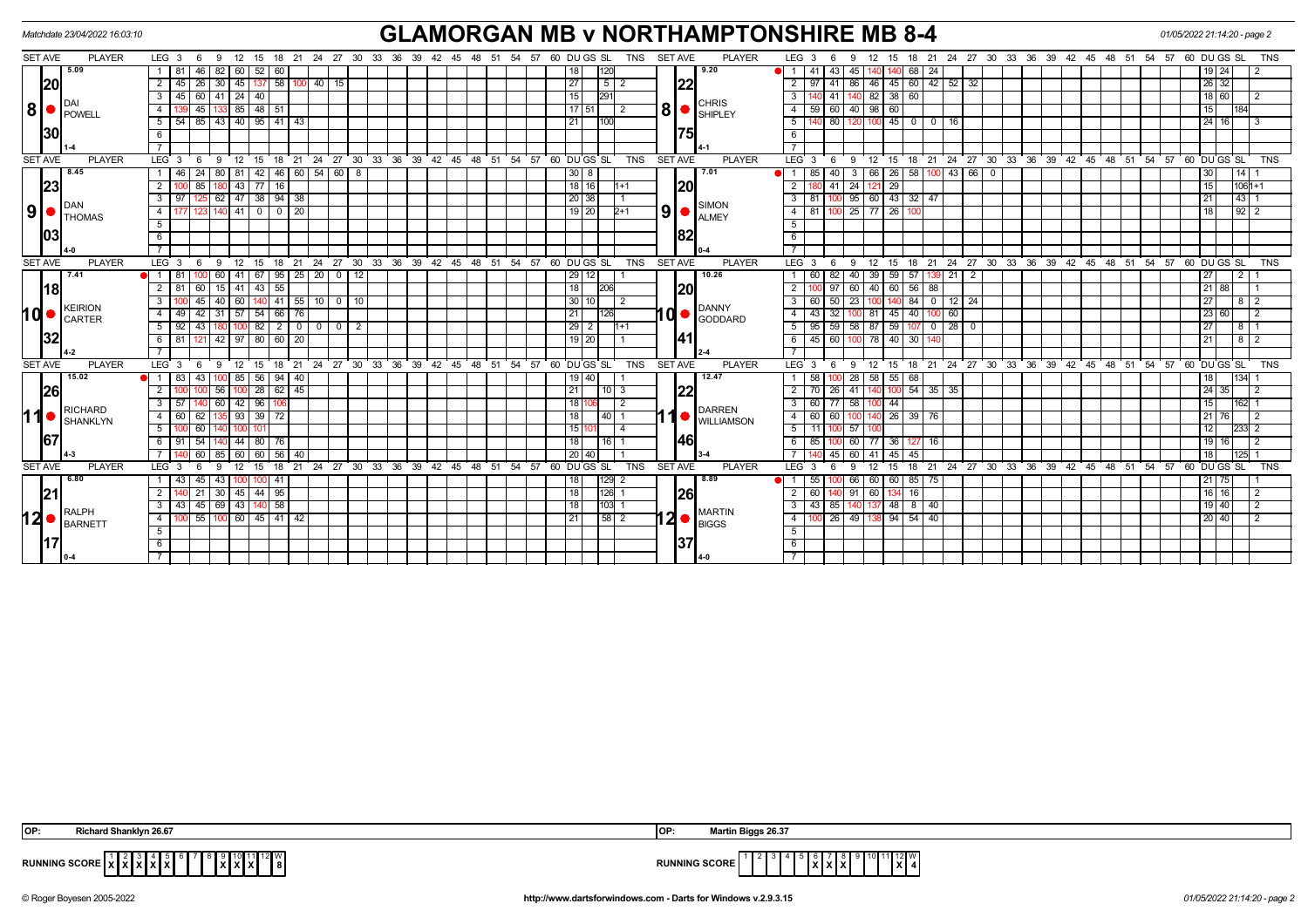| <b>GLAMORGAN MB v NORTHAMPTONSHIRE MB 8-4</b><br>Matchdate 23/04/2022 16:03:10 |                                |                                                              |                                                                                            |                                   |                                                                                                           |                                             |  |  |  |  |
|--------------------------------------------------------------------------------|--------------------------------|--------------------------------------------------------------|--------------------------------------------------------------------------------------------|-----------------------------------|-----------------------------------------------------------------------------------------------------------|---------------------------------------------|--|--|--|--|
| <b>SET AVE</b>                                                                 | <b>PLAYER</b>                  | LEG <sub>3</sub><br>12<br>- 6<br>9<br>15                     | 18 21 24 27 30 33 36 39 42 45 48 51 54 57 60 DU GS SL TNS SET AVE                          | <b>PLAYER</b>                     | LEG <sub>3</sub><br>24 27 30 33 36 39 42 45 48 51 54 57 60 DUGS SL<br>15<br>18<br>21                      | <b>TNS</b>                                  |  |  |  |  |
|                                                                                | 5.09                           | 46<br>52<br>82<br>60 I<br>60                                 | 18                                                                                         | 9.20                              | 68<br>43<br>-24<br>45                                                                                     | 19 24                                       |  |  |  |  |
|                                                                                | 20<br>$8 \nvert \nvert$ POWELL | 58<br>26<br>45<br>$40$   15<br>2<br>30<br>-45<br>137         | 27<br>5                                                                                    | 22                                | 45 60<br>$42 \mid 52 \mid 32$<br>$\overline{2}$<br>86<br>46 T<br>41                                       | $26$ 32                                     |  |  |  |  |
|                                                                                |                                | $60$   41   24  <br>40<br>3<br>-45                           | 15<br>291                                                                                  |                                   | 82 38 60<br>41                                                                                            | 18 60                                       |  |  |  |  |
|                                                                                |                                | $48$ 51<br>45<br>85                                          | $\overline{17}$   51                                                                       | <b>CHRIS</b><br>8 •<br>SHIPLEY    | 60<br>98 I<br>60<br>40                                                                                    | 15                                          |  |  |  |  |
|                                                                                |                                | 85 43 40 95 41 43<br>-5<br>. 54                              | 21<br>100                                                                                  |                                   | $100$ 45 0<br>5<br>80<br>0 1 1 6                                                                          | 24 16                                       |  |  |  |  |
| 130                                                                            |                                | -6                                                           |                                                                                            |                                   | 6                                                                                                         |                                             |  |  |  |  |
|                                                                                |                                |                                                              |                                                                                            |                                   |                                                                                                           |                                             |  |  |  |  |
| <b>SET AVE</b>                                                                 | <b>PLAYER</b>                  | LEG 3<br>24<br>9<br>12<br>18<br>21<br>15<br>6                | $127$ 30 33 36 39 42 45 48 51<br>54.57<br>60 DUGS SL<br><b>TNS</b>                         | <b>PLAYER</b><br><b>SET AVE</b>   | 21 24 27 30 33 36 39 42 45 48 51 54 57 60 DUGS SL<br>LEG <sub>3</sub><br>ີ 18<br>6<br>-9<br>12<br>15      | <b>TNS</b>                                  |  |  |  |  |
|                                                                                | 8.45                           | $42$   46   60   54   60   8<br>24<br>80   81  <br>1   46    | $30 \mid 8$                                                                                | 7.01                              | 3   66   26   58   100   43   66   0<br>40<br>85 I                                                        | 30<br>14                                    |  |  |  |  |
| 23                                                                             |                                | $\overline{77}$<br>2<br>85<br>l 43<br>16                     | $18$ 16<br>l1+1                                                                            | <b>20</b>                         | $\overline{29}$<br>24<br>2<br>41                                                                          | 15<br>$1061 + 1$                            |  |  |  |  |
|                                                                                |                                | $62$ 47 38 94 38<br>3<br>97                                  | 20 38                                                                                      |                                   | $100$ 95 60 43 32 47<br>3<br>81 I                                                                         | 43 <br>21                                   |  |  |  |  |
|                                                                                |                                | $\overline{0}$<br>$\overline{0}$<br>$\sqrt{20}$<br> 41 <br>4 | $19$ 20<br>2+1                                                                             | <b>SIMON</b><br>9<br><b>ALMEY</b> | 100 25<br>$77$ 26<br>81                                                                                   | 18<br>$92$   2                              |  |  |  |  |
|                                                                                |                                | 5                                                            |                                                                                            |                                   | 5                                                                                                         |                                             |  |  |  |  |
|                                                                                | 03                             | 6                                                            |                                                                                            | 182                               | 6                                                                                                         |                                             |  |  |  |  |
|                                                                                |                                |                                                              |                                                                                            |                                   |                                                                                                           |                                             |  |  |  |  |
| <b>SET AVE</b>                                                                 | <b>PLAYER</b>                  | LEG <sup>3</sup><br>21<br>9<br>12<br>15<br>18<br>- 6         | $24$ 27 30 33 36 39 42 45 48 51<br>54 57 60 DUGS SL<br><b>TNS</b>                          | <b>PLAYER</b><br><b>SET AVE</b>   | 18 21 24 27 30 33 36 39 42 45 48 51 54 57 60 DUGS SL<br>LEG <sub>3</sub><br>6<br>9<br>12<br>$^{\circ}$ 15 | <b>TNS</b>                                  |  |  |  |  |
|                                                                                | 7.41<br>18                     | 67<br>$95$   25   20   0   12<br>$\blacksquare$<br>41<br>60  | 29 12                                                                                      | 10.26                             | 59<br>57<br>139 21<br>$\overline{2}$<br>82<br>40<br>39                                                    | $\overline{27}$<br>$\overline{2}$           |  |  |  |  |
|                                                                                |                                | $43 \mid 55$<br>2<br>60<br>15   41                           | 18                                                                                         | <b>1201</b>                       | 60<br>56<br>88<br>60<br>40 I                                                                              | $21$ 88                                     |  |  |  |  |
|                                                                                |                                | $41$ 55<br>$10$ 0 $10$<br>45<br>60<br>3<br>40<br>140         | 30 <sub>1</sub><br>10                                                                      |                                   | 84<br>$0$ 12 24<br>50<br>23<br>140<br>60 l                                                                | 27<br>8                                     |  |  |  |  |
| 10                                                                             | KEIRION<br><b>CARTER</b>       | 54 66 76<br>42<br>$31 \mid 57$<br>4   49                     | 21<br>126                                                                                  | DANNY<br>10 C<br>GODDARD          | 81 45 40<br>100 60<br>43 I                                                                                | 23 60                                       |  |  |  |  |
|                                                                                |                                | 82<br>43<br>$\overline{2}$<br>5<br>  92                      | 29<br>$1 + 1$<br>2                                                                         |                                   | $0$ 28 0<br>59<br>59<br>58<br>87 I<br>107<br>-5<br>95l                                                    | 27<br>-8 I                                  |  |  |  |  |
| 32                                                                             |                                | 42 97 80 60 20<br>6   81  <br>121 I                          | $19$ 20                                                                                    | 141                               | 6<br>45 60 100<br>78 40 30                                                                                | 21<br>$8$                                   |  |  |  |  |
|                                                                                |                                |                                                              |                                                                                            |                                   |                                                                                                           |                                             |  |  |  |  |
| <b>SET AVE</b>                                                                 | <b>PLAYER</b>                  | LEG <sub>3</sub><br>12<br>9<br>6                             | 15 18 21 24 27 30 33 36 39 42 45 48 51<br>54 57 60 DU GS SL<br><b>TNS</b>                  | <b>SET AVE</b><br><b>PLAYER</b>   | 12 15 18 21 24 27 30 33 36 39 42 45 48 51 54 57 60 DUGS SL<br>LEG <sub>3</sub><br>- 6<br>-9               | <b>TNS</b>                                  |  |  |  |  |
|                                                                                | 15.02                          | $56$   94   40<br>83<br>43 I<br>100 85                       | 19 40                                                                                      | 12.47                             | 58 55 68<br>100 28<br>58 <sub>1</sub>                                                                     | 18<br> 134                                  |  |  |  |  |
|                                                                                | 26                             | 28   62   45<br>2<br>56   100                                | 21<br>$10$   3                                                                             | 1221                              | 140 100 54 35 35<br>$\overline{2}$<br>$70$   26   41                                                      | 24 35                                       |  |  |  |  |
|                                                                                | <b>RICHARD</b>                 | 96<br>3<br>60   42                                           | 18                                                                                         | DARREN                            | 60 77 58<br>44                                                                                            | 15<br>162I                                  |  |  |  |  |
| 110                                                                            | SHANKLYN                       | 39 72<br>62<br>$135$ 93<br>4 60                              | 18<br>40                                                                                   | <b>WILLIAMSON</b>                 | 140 26 39 76<br>60<br>$\overline{4}$<br>60 I                                                              | 21 76                                       |  |  |  |  |
|                                                                                |                                | 60                                                           | 15                                                                                         |                                   | 57<br>5                                                                                                   | 12                                          |  |  |  |  |
| 167                                                                            |                                | 44   80   76<br>54                                           | 18<br>16 I                                                                                 | 46                                | 85 I<br>100 60<br>77 36 127<br>6<br>16 I                                                                  | 19   16                                     |  |  |  |  |
|                                                                                |                                | 60<br>60<br>56<br>60<br>l 40                                 | 20 <sub>l</sub>                                                                            |                                   | 45<br>60<br>45<br>45                                                                                      | 18                                          |  |  |  |  |
| <b>SET AVE</b>                                                                 | <b>PLAYER</b>                  | LEG <sub>3</sub><br>15<br>18<br>21<br>12<br>9                | 24 27 30 33 36 39<br>60 DU GS SL<br><b>TNS</b><br>$42 \quad 45 \quad 48 \quad 51$<br>54 57 | <b>SET AVE</b><br><b>PLAYER</b>   | 18 21 24 27 30 33 36 39 42 45 48 51<br>LEG <sub>3</sub><br>15<br>12 <sup>°</sup>                          | $54$ $57$ $60$ $DU$ $GS$ $SL$<br><b>TNS</b> |  |  |  |  |
|                                                                                | 6.80                           | 45<br>43<br>100 I<br>-41                                     | $129$ 2<br>18                                                                              | l 8.89                            | 66<br>60 60<br>85<br>75                                                                                   | $21$ 75                                     |  |  |  |  |
| 21                                                                             |                                | $144$ 95<br>21<br>30   45<br>2                               | 18<br>$126$ 1                                                                              | <b>26</b>                         | 60<br>60 l<br>91<br>16<br>134                                                                             | $16$   16                                   |  |  |  |  |
|                                                                                | <b>RALPH</b><br><b>BARNETT</b> | 140 58<br>45 69 43<br>3                                      | 18<br>103 1                                                                                | <b>MARTIN</b>                     | 48<br>8<br>40<br>85                                                                                       | $19$ 40                                     |  |  |  |  |
| 120                                                                            |                                | $\overline{55}$ 100 60 45 41 42<br>$\overline{4}$            | 58 2<br>21                                                                                 | <b>BIGGS</b>                      | 26 49<br>$94 \mid 54$<br>$\overline{4}$<br>40                                                             | $\sqrt{20}$ 40                              |  |  |  |  |
|                                                                                |                                | 5 <sup>5</sup>                                               |                                                                                            |                                   | 5                                                                                                         |                                             |  |  |  |  |
|                                                                                |                                | 6                                                            |                                                                                            | 137                               | 6                                                                                                         |                                             |  |  |  |  |
|                                                                                |                                |                                                              |                                                                                            |                                   |                                                                                                           |                                             |  |  |  |  |

| n<br>. .   | ----<br>า 26.6 | w             | <sub>4</sub> gs 26.37<br>.                |
|------------|----------------|---------------|-------------------------------------------|
| <b>RUN</b> | 112 I W        | <b>RUNNII</b> | '11121W<br>IG SCORE<br>.<br>.<br>$\sim$ . |